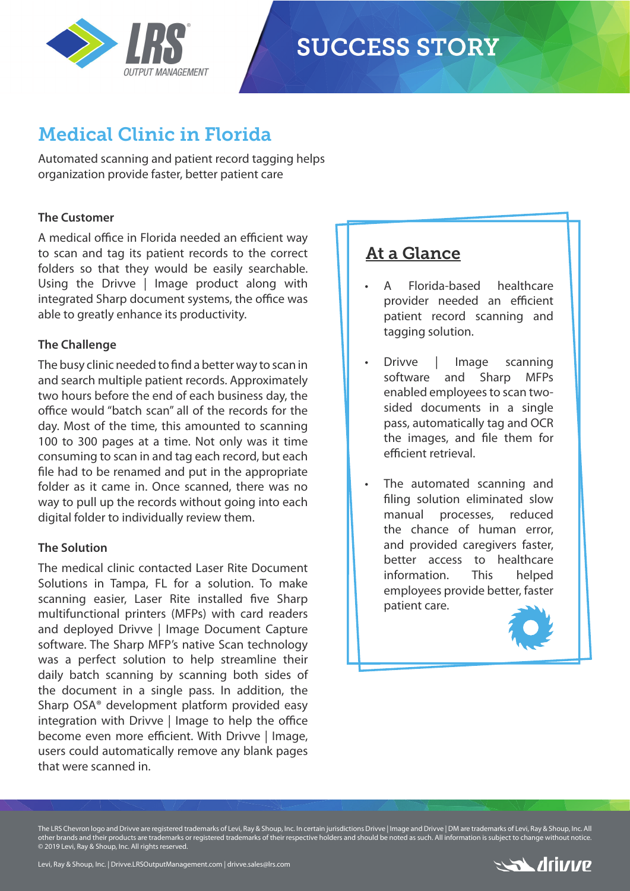

# **SUCCESS STORY**

## Medical Clinic in Florida

Automated scanning and patient record tagging helps organization provide faster, better patient care

#### **The Customer**

A medical office in Florida needed an efficient way to scan and tag its patient records to the correct folders so that they would be easily searchable. Using the Drivve | Image product along with integrated Sharp document systems, the office was able to greatly enhance its productivity.

#### **The Challenge**

The busy clinic needed to find a better way to scan in and search multiple patient records. Approximately two hours before the end of each business day, the office would "batch scan" all of the records for the day. Most of the time, this amounted to scanning 100 to 300 pages at a time. Not only was it time consuming to scan in and tag each record, but each file had to be renamed and put in the appropriate folder as it came in. Once scanned, there was no way to pull up the records without going into each digital folder to individually review them.

#### **The Solution**

The medical clinic contacted Laser Rite Document Solutions in Tampa, FL for a solution. To make scanning easier, Laser Rite installed five Sharp multifunctional printers (MFPs) with card readers and deployed Drivve | Image Document Capture software. The Sharp MFP's native Scan technology was a perfect solution to help streamline their daily batch scanning by scanning both sides of the document in a single pass. In addition, the Sharp OSA® development platform provided easy integration with Drivve  $\vert$  Image to help the office become even more efficient. With Drivve | Image, users could automatically remove any blank pages that were scanned in.

### At a Glance

- A Florida-based healthcare provider needed an efficient patient record scanning and tagging solution.
- Drivve | Image scanning software and Sharp MFPs enabled employees to scan twosided documents in a single pass, automatically tag and OCR the images, and file them for efficient retrieval.
- The automated scanning and filing solution eliminated slow manual processes, reduced the chance of human error, and provided caregivers faster, better access to healthcare information. This helped employees provide better, faster patient care.



The LRS Chevron logo and Drivve are registered trademarks of Levi, Ray & Shoup, Inc. In certain jurisdictions Drivve | Image and Drivve | DM are trademarks of Levi, Ray & Shoup, Inc. All other brands and their products are trademarks or registered trademarks of their respective holders and should be noted as such. All information is subject to change without notice. © 2019 Levi, Ray & Shoup, Inc. All rights reserved.